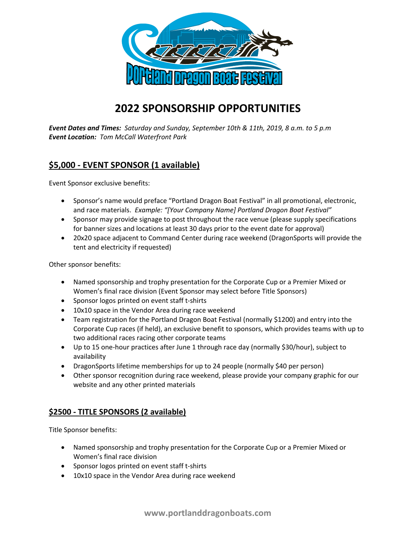

## **2022 SPONSORSHIP OPPORTUNITIES**

*Event Dates and Times: Saturday and Sunday, September 10th & 11th, 2019, 8 a.m. to 5 p.m Event Location: Tom McCall Waterfront Park*

## **\$5,000 - EVENT SPONSOR (1 available)**

Event Sponsor exclusive benefits:

- Sponsor's name would preface "Portland Dragon Boat Festival" in all promotional, electronic, and race materials. *Example: "[Your Company Name] Portland Dragon Boat Festival"*
- Sponsor may provide signage to post throughout the race venue (please supply specifications for banner sizes and locations at least 30 days prior to the event date for approval)
- 20x20 space adjacent to Command Center during race weekend (DragonSports will provide the tent and electricity if requested)

Other sponsor benefits:

- Named sponsorship and trophy presentation for the Corporate Cup or a Premier Mixed or Women's final race division (Event Sponsor may select before Title Sponsors)
- Sponsor logos printed on event staff t-shirts
- 10x10 space in the Vendor Area during race weekend
- Team registration for the Portland Dragon Boat Festival (normally \$1200) and entry into the Corporate Cup races (if held), an exclusive benefit to sponsors, which provides teams with up to two additional races racing other corporate teams
- Up to 15 one-hour practices after June 1 through race day (normally \$30/hour), subject to availability
- DragonSports lifetime memberships for up to 24 people (normally \$40 per person)
- Other sponsor recognition during race weekend, please provide your company graphic for our website and any other printed materials

## **\$2500 - TITLE SPONSORS (2 available)**

Title Sponsor benefits:

- Named sponsorship and trophy presentation for the Corporate Cup or a Premier Mixed or Women's final race division
- Sponsor logos printed on event staff t-shirts
- 10x10 space in the Vendor Area during race weekend